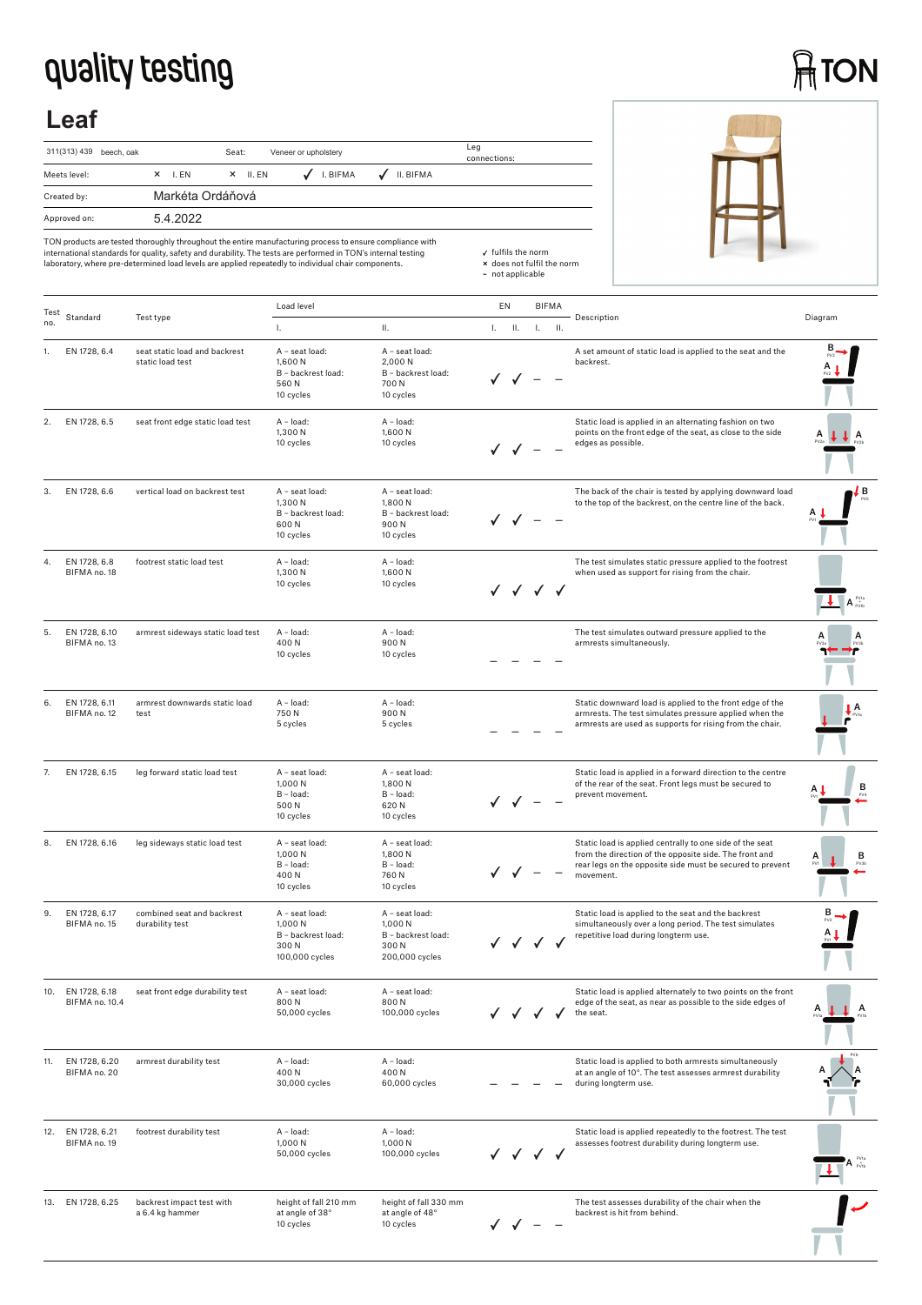## **quality testing**

# **ATON**

## **Leaf**

| 311(313) 439 beech, oak | Veneer or upholstery<br>Seat:                                       | Leg<br>connections: |
|-------------------------|---------------------------------------------------------------------|---------------------|
| Meets level:            | $\sqrt{}$ I. BIFMA<br>II. BIFMA<br>✓<br>$\times$ II. EN<br>$X$ I.EN |                     |
| Created by:             | Markéta Ordáňová                                                    |                     |
| Approved on:            | 5.4.2022                                                            |                     |



TON products are tested thoroughly throughout the entire manufacturing process to ensure compliance with<br>international standards for quality, safety and durability. The tests are performed in TON's internal testing<br>laborat

| Test |                                   |                                                   | Load level                                                                 |                                                                           | EN        |            | <b>BIFMA</b> |                                                                                                                                                                                              |                                             |
|------|-----------------------------------|---------------------------------------------------|----------------------------------------------------------------------------|---------------------------------------------------------------------------|-----------|------------|--------------|----------------------------------------------------------------------------------------------------------------------------------------------------------------------------------------------|---------------------------------------------|
| no.  | Standard                          | Test type                                         | L.                                                                         | Ш.                                                                        | $L = H$ . | $L = H$ .  |              | Description                                                                                                                                                                                  | Diagram                                     |
|      | EN 1728, 6.4                      | seat static load and backrest<br>static load test | A - seat load:<br>1,600 N<br>B - backrest load:<br>560N<br>10 cycles       | A - seat load:<br>2,000 N<br>B - backrest load:<br>700N<br>10 cycles      |           |            |              | A set amount of static load is applied to the seat and the<br>backrest.                                                                                                                      |                                             |
| 2.   | EN 1728, 6.5                      | seat front edge static load test                  | A - load:<br>1,300 N<br>10 cycles                                          | A - load:<br>1,600 N<br>10 cycles                                         | ✓ ✓ –     |            |              | Static load is applied in an alternating fashion on two<br>points on the front edge of the seat, as close to the side<br>edges as possible.                                                  | А                                           |
| 3.   | EN 1728, 6.6                      | vertical load on backrest test                    | A - seat load:<br>1,300 N<br>B - backrest load:<br>600N<br>10 cycles       | A - seat load:<br>1,800N<br>B - backrest load:<br>900N<br>10 cycles       |           |            |              | The back of the chair is tested by applying downward load<br>to the top of the backrest, on the centre line of the back.                                                                     | ! B                                         |
| 4.   | EN 1728, 6.8<br>BIFMA no. 18      | footrest static load test                         | A - load:<br>1,300 N<br>10 cycles                                          | A - load:<br>1,600N<br>10 cycles                                          |           | √ √ √ √    |              | The test simulates static pressure applied to the footrest<br>when used as support for rising from the chair.                                                                                | $\blacksquare$ A $_{\rm{evib}}^{\rm{evis}}$ |
| 5.   | EN 1728, 6.10<br>BIFMA no. 13     | armrest sideways static load test                 | A - load:<br>400N<br>10 cycles                                             | A - load:<br>900N<br>10 cycles                                            |           |            |              | The test simulates outward pressure applied to the<br>armrests simultaneously.                                                                                                               |                                             |
| 6.   | EN 1728, 6.11<br>BIFMA no. 12     | armrest downwards static load<br>test             | A - load:<br>750N<br>5 cycles                                              | A - load:<br>900N<br>5 cycles                                             |           |            |              | Static downward load is applied to the front edge of the<br>armrests. The test simulates pressure applied when the<br>armrests are used as supports for rising from the chair.               |                                             |
| 7.   | EN 1728, 6.15                     | leg forward static load test                      | A - seat load:<br>1,000 N<br>B - load:<br>500N<br>10 cycles                | A - seat load:<br>1,800 N<br>$B - load:$<br>620N<br>10 cycles             |           |            |              | Static load is applied in a forward direction to the centre<br>of the rear of the seat. Front legs must be secured to<br>prevent movement.                                                   | в                                           |
| 8.   | EN 1728, 6.16                     | leg sideways static load test                     | A - seat load:<br>1,000 N<br>B - load:<br>400N<br>10 cycles                | A - seat load:<br>1,800 N<br>B - load:<br>760 N<br>10 cycles              |           |            |              | Static load is applied centrally to one side of the seat<br>from the direction of the opposite side. The front and<br>rear legs on the opposite side must be secured to prevent<br>movement. | в<br>А                                      |
| 9.   | EN 1728, 6.17<br>BIFMA no. 15     | combined seat and backrest<br>durability test     | A - seat load:<br>1.000 N<br>B - backrest load:<br>300 N<br>100,000 cycles | A - seat load:<br>1,000 N<br>B - backrest load:<br>300N<br>200,000 cycles |           | $\sqrt{2}$ |              | Static load is applied to the seat and the backrest<br>simultaneously over a long period. The test simulates<br>repetitive load during longterm use.                                         |                                             |
| IU.  | EN 1728, 6.18<br>BIFMA no. 10.4   | seat front edge durability test                   | A - seat load:<br>800N<br>50,000 cycles                                    | A - seat load:<br>800N<br>100,000 cycles                                  |           |            |              | Static load is applied alternately to two points on the front<br>edge of the seat, as near as possible to the side edges of<br>the seat.                                                     | A                                           |
| 11.  | EN 1728, 6.20<br>BIFMA no. 20     | armrest durability test                           | A - load:<br>400N<br>30,000 cycles                                         | A - load:<br>400N<br>60,000 cycles                                        |           |            |              | Static load is applied to both armrests simultaneously<br>at an angle of 10°. The test assesses armrest durability<br>during longterm use.                                                   |                                             |
|      | 12. EN 1728, 6.21<br>BIFMA no. 19 | footrest durability test                          | A - load:<br>1,000 N<br>50,000 cycles                                      | A - load:<br>1,000 N<br>100,000 cycles                                    |           | ✓✓✓        |              | Static load is applied repeatedly to the footrest. The test<br>assesses footrest durability during longterm use.                                                                             |                                             |
|      | 13. EN 1728, 6.25                 | backrest impact test with<br>a 6.4 kg hammer      | height of fall 210 mm<br>at angle of 38°<br>10 cycles                      | height of fall 330 mm<br>at angle of 48°<br>10 cycles                     |           |            |              | The test assesses durability of the chair when the<br>backrest is hit from behind.                                                                                                           |                                             |

 fulfils the norm **×** does not fulfil the norm **–** not applicable